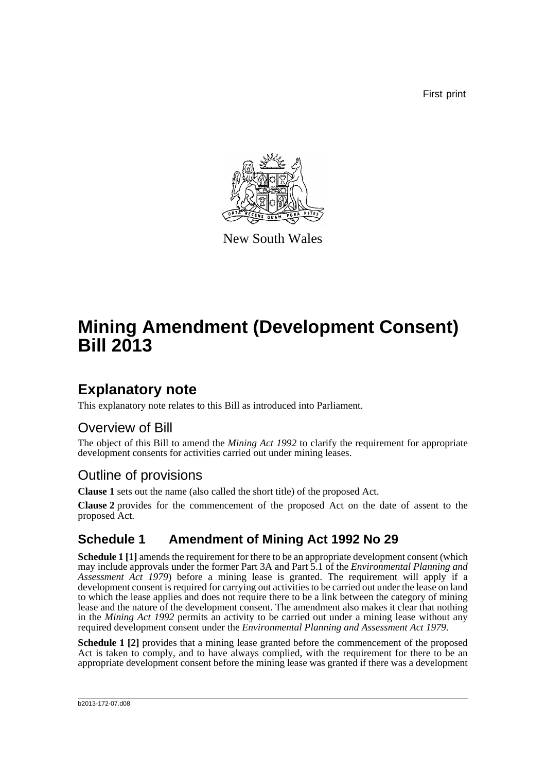First print



New South Wales

# **Mining Amendment (Development Consent) Bill 2013**

## **Explanatory note**

This explanatory note relates to this Bill as introduced into Parliament.

### Overview of Bill

The object of this Bill to amend the *Mining Act 1992* to clarify the requirement for appropriate development consents for activities carried out under mining leases.

### Outline of provisions

**Clause 1** sets out the name (also called the short title) of the proposed Act.

**Clause 2** provides for the commencement of the proposed Act on the date of assent to the proposed Act.

### **Schedule 1 Amendment of Mining Act 1992 No 29**

**Schedule 1 [1]** amends the requirement for there to be an appropriate development consent (which may include approvals under the former Part 3A and Part 5.1 of the *Environmental Planning and Assessment Act 1979*) before a mining lease is granted. The requirement will apply if a development consent is required for carrying out activities to be carried out under the lease on land to which the lease applies and does not require there to be a link between the category of mining lease and the nature of the development consent. The amendment also makes it clear that nothing in the *Mining Act 1992* permits an activity to be carried out under a mining lease without any required development consent under the *Environmental Planning and Assessment Act 1979*.

**Schedule 1 [2]** provides that a mining lease granted before the commencement of the proposed Act is taken to comply, and to have always complied, with the requirement for there to be an appropriate development consent before the mining lease was granted if there was a development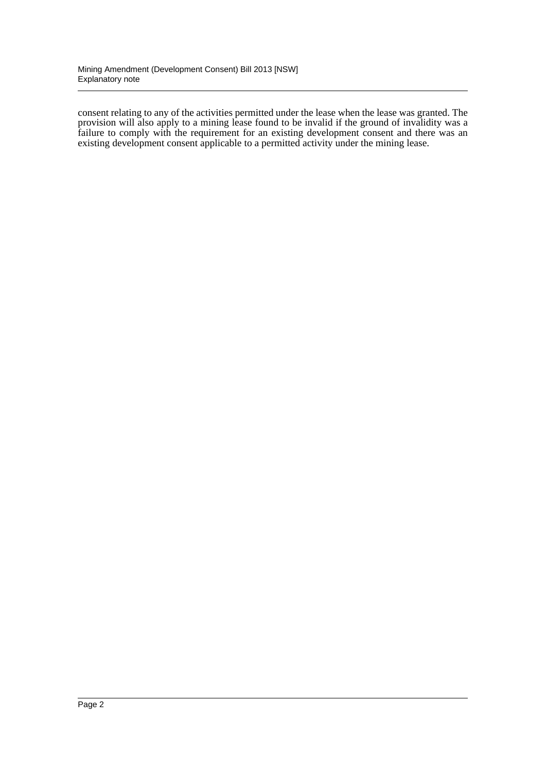consent relating to any of the activities permitted under the lease when the lease was granted. The provision will also apply to a mining lease found to be invalid if the ground of invalidity was a failure to comply with the requirement for an existing development consent and there was an existing development consent applicable to a permitted activity under the mining lease.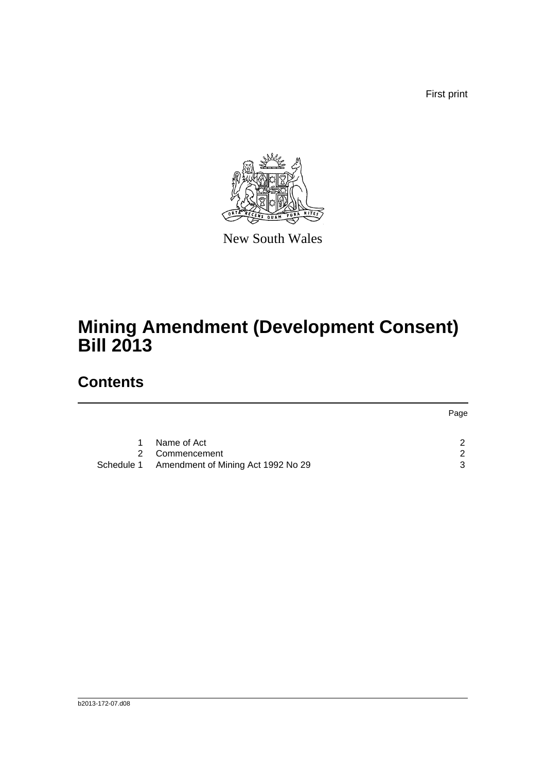First print



New South Wales

# **Mining Amendment (Development Consent) Bill 2013**

## **Contents**

|    |                                               | Page |
|----|-----------------------------------------------|------|
|    |                                               |      |
| 1. | Name of Act                                   | ົ    |
| 2  | Commencement                                  | ົ    |
|    | Schedule 1 Amendment of Mining Act 1992 No 29 | ્ર   |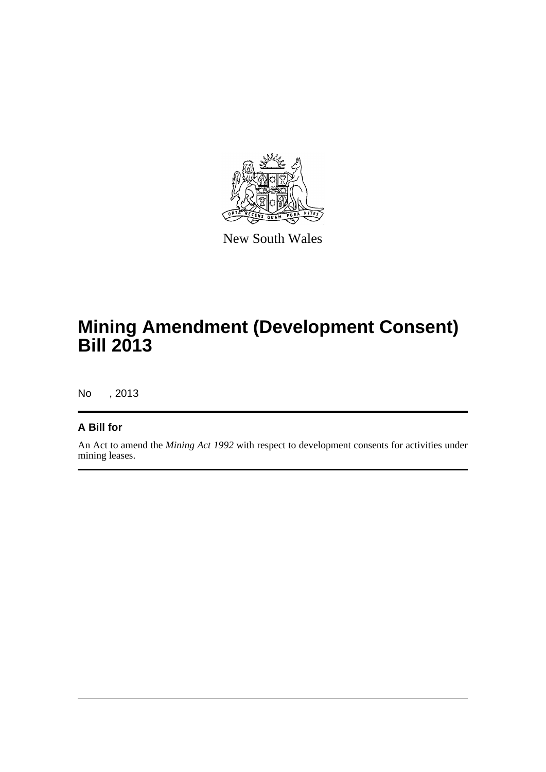

New South Wales

## **Mining Amendment (Development Consent) Bill 2013**

No , 2013

#### **A Bill for**

An Act to amend the *Mining Act 1992* with respect to development consents for activities under mining leases.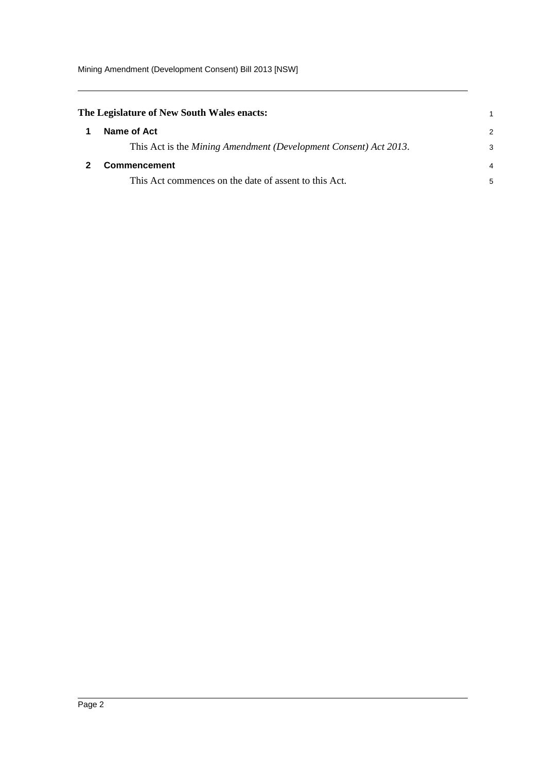Mining Amendment (Development Consent) Bill 2013 [NSW]

<span id="page-4-1"></span><span id="page-4-0"></span>

| The Legislature of New South Wales enacts: |                                                                  |               |
|--------------------------------------------|------------------------------------------------------------------|---------------|
|                                            | Name of Act                                                      | $\mathcal{P}$ |
|                                            | This Act is the Mining Amendment (Development Consent) Act 2013. | 3             |
|                                            | <b>Commencement</b>                                              | 4             |
|                                            | This Act commences on the date of assent to this Act.            | 5             |
|                                            |                                                                  |               |